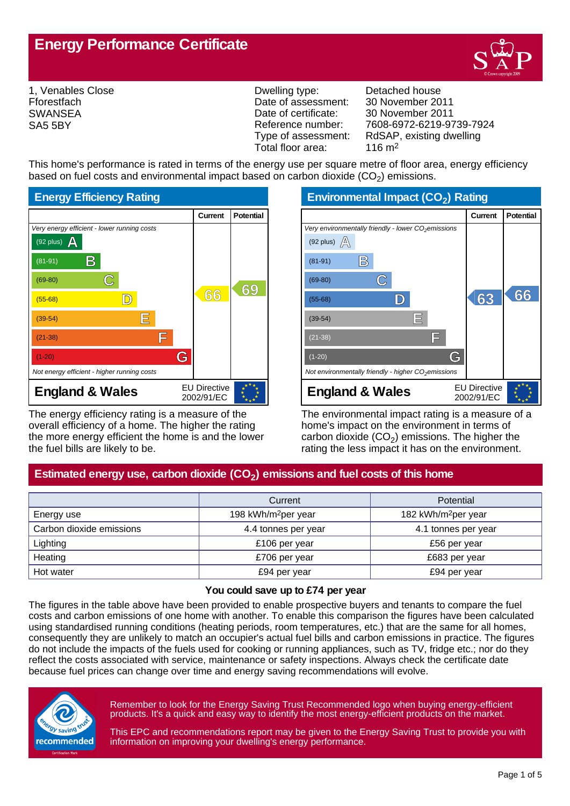# **Energy Performance Certificate**



1, Venables Close **Fforestfach SWANSEA** SA5 5BY

Dwelling type: Detached house Date of assessment: 30 November 2011<br>Date of certificate: 30 November 2011 Date of certificate: 30 November 2011<br>Reference number: 7608-6972-6219-9 Total floor area:

Reference number: 7608-6972-6219-9739-7924<br>Type of assessment: RdSAP, existing dwelling RdSAP, existing dwelling<br> $116 \text{ m}^2$ 

This home's performance is rated in terms of the energy use per square metre of floor area, energy efficiency based on fuel costs and environmental impact based on carbon dioxide (CO<sub>2</sub>) emissions.



The energy efficiency rating is a measure of the overall efficiency of a home. The higher the rating the more energy efficient the home is and the lower the fuel bills are likely to be.

**Environmental Impact (CO<sup>2</sup> ) Rating**

|                                                                 | Current                           | <b>Potential</b> |
|-----------------------------------------------------------------|-----------------------------------|------------------|
| Very environmentally friendly - lower CO <sub>2</sub> emissions |                                   |                  |
| (92 plus) $\mathbb{A}$                                          |                                   |                  |
| B<br>$(81-91)$                                                  |                                   |                  |
| $(69-80)$                                                       |                                   |                  |
| $(55-68)$                                                       | 63                                | 66               |
| Ε<br>$(39-54)$                                                  |                                   |                  |
| ΙĦ<br>$(21-38)$                                                 |                                   |                  |
| G<br>$(1-20)$                                                   |                                   |                  |
| Not environmentally friendly - higher $CO2$ emissions           |                                   |                  |
| <b>England &amp; Wales</b>                                      | <b>EU Directive</b><br>2002/91/EC |                  |

The environmental impact rating is a measure of a home's impact on the environment in terms of carbon dioxide (CO<sub>2</sub>) emissions. The higher the rating the less impact it has on the environment.

## **Estimated energy use, carbon dioxide (CO<sup>2</sup> ) emissions and fuel costs of this home**

|                          | Current                         | <b>Potential</b>                |
|--------------------------|---------------------------------|---------------------------------|
| Energy use               | 198 kWh/m <sup>2</sup> per year | 182 kWh/m <sup>2</sup> per year |
| Carbon dioxide emissions | 4.4 tonnes per year             | 4.1 tonnes per year             |
| Lighting                 | £106 per year                   | £56 per year                    |
| Heating                  | £706 per year                   | £683 per year                   |
| Hot water                | £94 per year                    | £94 per year                    |

#### **You could save up to £74 per year**

The figures in the table above have been provided to enable prospective buyers and tenants to compare the fuel costs and carbon emissions of one home with another. To enable this comparison the figures have been calculated using standardised running conditions (heating periods, room temperatures, etc.) that are the same for all homes, consequently they are unlikely to match an occupier's actual fuel bills and carbon emissions in practice. The figures do not include the impacts of the fuels used for cooking or running appliances, such as TV, fridge etc.; nor do they reflect the costs associated with service, maintenance or safety inspections. Always check the certificate date because fuel prices can change over time and energy saving recommendations will evolve.



Remember to look for the Energy Saving Trust Recommended logo when buying energy-efficient products. It's a quick and easy way to identify the most energy-efficient products on the market.

This EPC and recommendations report may be given to the Energy Saving Trust to provide you with information on improving your dwelling's energy performance.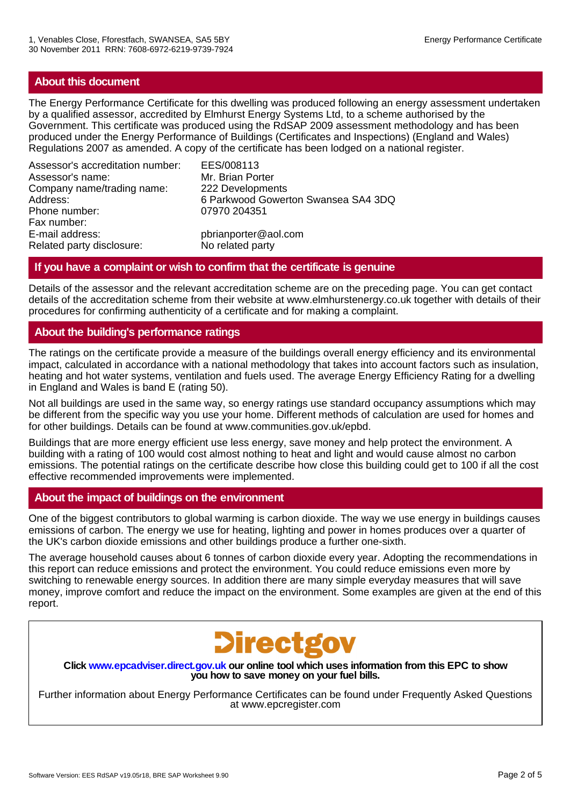## **About this document**

The Energy Performance Certificate for this dwelling was produced following an energy assessment undertaken by a qualified assessor, accredited by Elmhurst Energy Systems Ltd, to a scheme authorised by the Government. This certificate was produced using the RdSAP 2009 assessment methodology and has been produced under the Energy Performance of Buildings (Certificates and Inspections) (England and Wales) Regulations 2007 as amended. A copy of the certificate has been lodged on a national register.

Assessor's accreditation number: EES/008113 Assessor's name: Mr. Brian Porter Company name/trading name: 222 Developments Phone number: 07970 204351 Fax number: E-mail address: pbrianporter@aol.com<br>Related party disclosure: No related party Related party disclosure:

6 Parkwood Gowerton Swansea SA4 3DQ

## **If you have a complaint or wish to confirm that the certificate is genuine**

Details of the assessor and the relevant accreditation scheme are on the preceding page. You can get contact details of the accreditation scheme from their website at www.elmhurstenergy.co.uk together with details of their procedures for confirming authenticity of a certificate and for making a complaint.

## **About the building's performance ratings**

The ratings on the certificate provide a measure of the buildings overall energy efficiency and its environmental impact, calculated in accordance with a national methodology that takes into account factors such as insulation, heating and hot water systems, ventilation and fuels used. The average Energy Efficiency Rating for a dwelling in England and Wales is band E (rating 50).

Not all buildings are used in the same way, so energy ratings use standard occupancy assumptions which may be different from the specific way you use your home. Different methods of calculation are used for homes and for other buildings. Details can be found at www.communities.gov.uk/epbd.

Buildings that are more energy efficient use less energy, save money and help protect the environment. A building with a rating of 100 would cost almost nothing to heat and light and would cause almost no carbon emissions. The potential ratings on the certificate describe how close this building could get to 100 if all the cost effective recommended improvements were implemented.

### **About the impact of buildings on the environment**

One of the biggest contributors to global warming is carbon dioxide. The way we use energy in buildings causes emissions of carbon. The energy we use for heating, lighting and power in homes produces over a quarter of the UK's carbon dioxide emissions and other buildings produce a further one-sixth.

The average household causes about 6 tonnes of carbon dioxide every year. Adopting the recommendations in this report can reduce emissions and protect the environment. You could reduce emissions even more by switching to renewable energy sources. In addition there are many simple everyday measures that will save money, improve comfort and reduce the impact on the environment. Some examples are given at the end of this report.



**Click www.epcadviser.direct.gov.uk our online tool which uses information from this EPC to show you how to save money on your fuel bills.**

Further information about Energy Performance Certificates can be found under Frequently Asked Questions at www.epcregister.com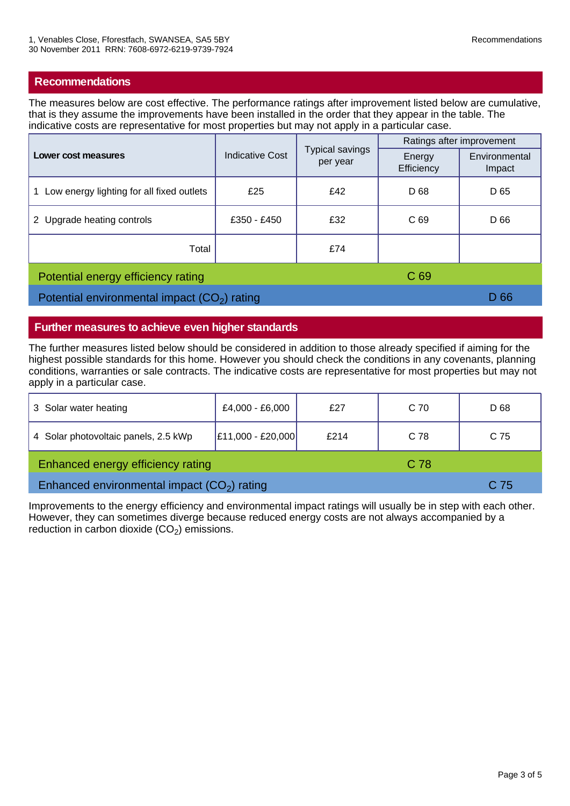## **Recommendations**

The measures below are cost effective. The performance ratings after improvement listed below are cumulative, that is they assume the improvements have been installed in the order that they appear in the table. The indicative costs are representative for most properties but may not apply in a particular case.

| Lower cost measures                           | <b>Indicative Cost</b> | Typical savings<br>per year | Ratings after improvement |                         |
|-----------------------------------------------|------------------------|-----------------------------|---------------------------|-------------------------|
|                                               |                        |                             | Energy<br>Efficiency      | Environmental<br>Impact |
| Low energy lighting for all fixed outlets     | £25                    | £42                         | D 68                      | D 65                    |
| 2 Upgrade heating controls                    | £350 - £450            | £32                         | C <sub>69</sub>           | D 66                    |
| Total                                         |                        | £74                         |                           |                         |
| Potential energy efficiency rating            |                        |                             | C <sub>69</sub>           |                         |
| Potential environmental impact $(CO2)$ rating |                        |                             | D 66                      |                         |

#### **Further measures to achieve even higher standards**

The further measures listed below should be considered in addition to those already specified if aiming for the highest possible standards for this home. However you should check the conditions in any covenants, planning conditions, warranties or sale contracts. The indicative costs are representative for most properties but may not apply in a particular case.

| 3 Solar water heating                        | £4,000 - £6,000     | £27  | C 70 | D 68 |
|----------------------------------------------|---------------------|------|------|------|
| 4 Solar photovoltaic panels, 2.5 kWp         | $E11,000 - E20,000$ | £214 | C 78 | C 75 |
| Enhanced energy efficiency rating            |                     |      | C 78 |      |
| Enhanced environmental impact $(CO2)$ rating |                     |      | C 75 |      |

Improvements to the energy efficiency and environmental impact ratings will usually be in step with each other. However, they can sometimes diverge because reduced energy costs are not always accompanied by a reduction in carbon dioxide  $(CO<sub>2</sub>)$  emissions.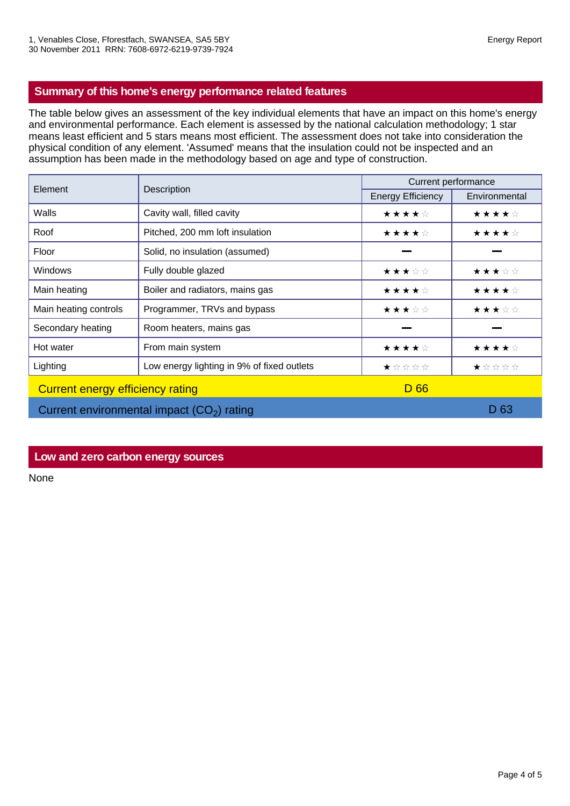## **Summary of this home's energy performance related features**

The table below gives an assessment of the key individual elements that have an impact on this home's energy and environmental performance. Each element is assessed by the national calculation methodology; 1 star means least efficient and 5 stars means most efficient. The assessment does not take into consideration the physical condition of any element. 'Assumed' means that the insulation could not be inspected and an assumption has been made in the methodology based on age and type of construction.

| Element                                     | Description                                | Current performance      |               |  |
|---------------------------------------------|--------------------------------------------|--------------------------|---------------|--|
|                                             |                                            | <b>Energy Efficiency</b> | Environmental |  |
| Walls                                       | Cavity wall, filled cavity                 | ★★★★☆                    | ★★★★☆         |  |
| Roof                                        | Pitched, 200 mm loft insulation            | ★★★★☆                    | ★★★★☆         |  |
| Floor                                       | Solid, no insulation (assumed)             |                          |               |  |
| <b>Windows</b>                              | Fully double glazed                        | ★★★☆☆                    | ★★★☆☆         |  |
| Main heating                                | Boiler and radiators, mains gas            | ★★★★☆                    | ★★★★☆         |  |
| Main heating controls                       | Programmer, TRVs and bypass                | ★★★☆☆                    | ★★★☆☆         |  |
| Secondary heating                           | Room heaters, mains gas                    |                          |               |  |
| Hot water                                   | From main system                           | ★★★★☆                    | ★★★★☆         |  |
| Lighting                                    | Low energy lighting in 9% of fixed outlets | ★☆☆☆☆                    | ★☆☆☆☆         |  |
| Current energy efficiency rating            |                                            | D 66                     |               |  |
| Current environmental impact $(CO2)$ rating |                                            |                          | D 63          |  |

### **Low and zero carbon energy sources**

None